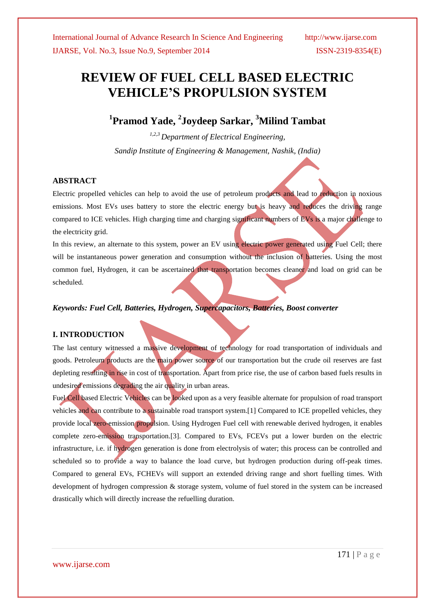# **REVIEW OF FUEL CELL BASED ELECTRIC VEHICLE'S PROPULSION SYSTEM**

# **1 Pramod Yade, <sup>2</sup> Joydeep Sarkar, <sup>3</sup>Milind Tambat**

*1,2,3 Department of Electrical Engineering, Sandip Institute of Engineering & Management, Nashik, (India)*

#### **ABSTRACT**

Electric propelled vehicles can help to avoid the use of petroleum products and lead to reduction in noxious emissions. Most EVs uses battery to store the electric energy but is heavy and reduces the driving range compared to ICE vehicles. High charging time and charging significant numbers of EVs is a major challenge to the electricity grid.

In this review, an alternate to this system, power an EV using electric power generated using Fuel Cell; there will be instantaneous power generation and consumption without the inclusion of batteries. Using the most common fuel, Hydrogen, it can be ascertained that transportation becomes cleaner and load on grid can be scheduled.

#### *Keywords: Fuel Cell, Batteries, Hydrogen, Supercapacitors, Batteries, Boost converter*

#### **I. INTRODUCTION**

The last century witnessed a massive development of technology for road transportation of individuals and goods. Petroleum products are the main power source of our transportation but the crude oil reserves are fast depleting resulting in rise in cost of transportation. Apart from price rise, the use of carbon based fuels results in undesired emissions degrading the air quality in urban areas.

Fuel Cell based Electric Vehicles can be looked upon as a very feasible alternate for propulsion of road transport vehicles and can contribute to a sustainable road transport system.[1] Compared to ICE propelled vehicles, they provide local zero-emission propulsion. Using Hydrogen Fuel cell with renewable derived hydrogen, it enables complete zero-emission transportation.[3]. Compared to EVs, FCEVs put a lower burden on the electric infrastructure, i.e. if hydrogen generation is done from electrolysis of water; this process can be controlled and scheduled so to provide a way to balance the load curve, but hydrogen production during off-peak times. Compared to general EVs, FCHEVs will support an extended driving range and short fuelling times. With development of hydrogen compression & storage system, volume of fuel stored in the system can be increased drastically which will directly increase the refuelling duration.

www.ijarse.com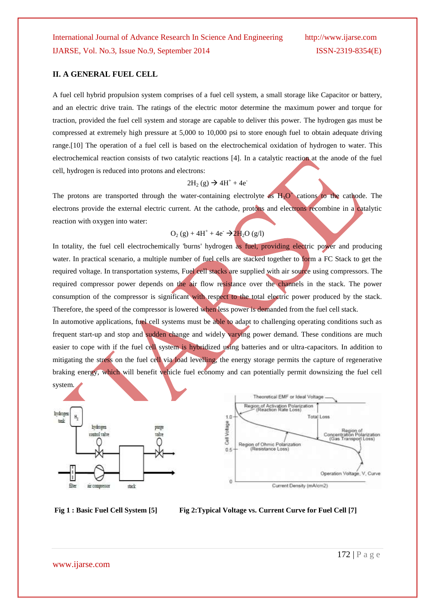#### **II. A GENERAL FUEL CELL**

A fuel cell hybrid propulsion system comprises of a fuel cell system, a small storage like Capacitor or battery, and an electric drive train. The ratings of the electric motor determine the maximum power and torque for traction, provided the fuel cell system and storage are capable to deliver this power. The hydrogen gas must be compressed at extremely high pressure at 5,000 to 10,000 psi to store enough fuel to obtain adequate driving range.[10] The operation of a fuel cell is based on the electrochemical oxidation of hydrogen to water. This electrochemical reaction consists of two catalytic reactions [4]. In a catalytic reaction at the anode of the fuel cell, hydrogen is reduced into protons and electrons:

### $2H_2(g) \to 4H^+ + 4e^-$

The protons are transported through the water-containing electrolyte as  $H_3O^+$  cations to the cathode. The electrons provide the external electric current. At the cathode, protons and electrons recombine in a catalytic reaction with oxygen into water:

$$
O_2(g) + 4H^+ + 4e^- \rightarrow 2H_2O(g/l)
$$

In totality, the fuel cell electrochemically 'burns' hydrogen as fuel, providing electric power and producing water. In practical scenario, a multiple number of fuel cells are stacked together to form a FC Stack to get the required voltage. In transportation systems, Fuel cell stacks are supplied with air source using compressors. The required compressor power depends on the air flow resistance over the channels in the stack. The power consumption of the compressor is significant with respect to the total electric power produced by the stack. Therefore, the speed of the compressor is lowered when less power is demanded from the fuel cell stack.

In automotive applications, fuel cell systems must be able to adapt to challenging operating conditions such as frequent start-up and stop and sudden change and widely varying power demand. These conditions are much easier to cope with if the fuel cell system is hybridized using batteries and or ultra-capacitors. In addition to mitigating the stress on the fuel cell via load levelling, the energy storage permits the capture of regenerative braking energy, which will benefit vehicle fuel economy and can potentially permit downsizing the fuel cell system.





**Fig 1 : Basic Fuel Cell System [5] Fig 2:Typical Voltage vs. Current Curve for Fuel Cell [7]**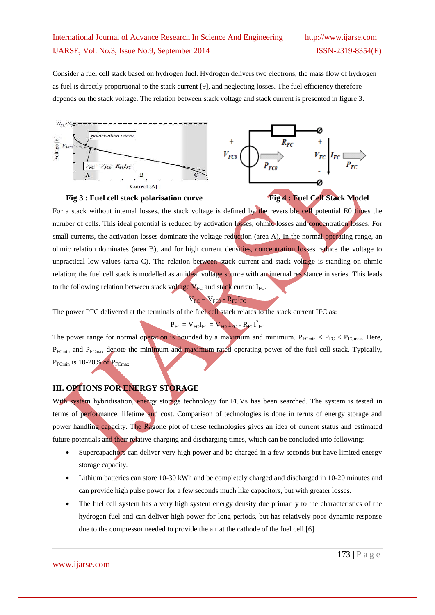Consider a fuel cell stack based on hydrogen fuel. Hydrogen delivers two electrons, the mass flow of hydrogen as fuel is directly proportional to the stack current [9], and neglecting losses. The fuel efficiency therefore depends on the stack voltage. The relation between stack voltage and stack current is presented in figure 3.





For a stack without internal losses, the stack voltage is defined by the reversible cell potential E0 times the number of cells. This ideal potential is reduced by activation losses, ohmic losses and concentration losses. For small currents, the activation losses dominate the voltage reduction (area A). In the normal operating range, an ohmic relation dominates (area B), and for high current densities, concentration losses reduce the voltage to unpractical low values (area C). The relation between stack current and stack voltage is standing on ohmic relation; the fuel cell stack is modelled as an ideal voltage source with an internal resistance in series. This leads to the following relation between stack voltage  $V_{FC}$  and stack current I<sub>FC</sub>.

$$
V_{FC} = V_{FC0} - R_{FC}I_{FC}
$$

The power PFC delivered at the terminals of the fuel cell stack relates to the stack current IFC as:

 $P_{FC} = V_{FC}I_{FC} = V_{FC0}I_{FC} - R_{FC}I_{FC}^2$ 

The power range for normal operation is bounded by a maximum and minimum.  $P_{FCmin} < P_{FC} < P_{FCmax}$ . Here, P<sub>FCmin</sub> and P<sub>FCmax</sub> denote the minimum and maximum rated operating power of the fuel cell stack. Typically,  $P_{FCmin}$  is 10-20% of  $P_{FCmax}$ .

# **III. OPTIONS FOR ENERGY STORAGE**

With system hybridisation, energy storage technology for FCVs has been searched. The system is tested in terms of performance, lifetime and cost. Comparison of technologies is done in terms of energy storage and power handling capacity. The Ragone plot of these technologies gives an idea of current status and estimated future potentials and their relative charging and discharging times, which can be concluded into following:

- Supercapacitors can deliver very high power and be charged in a few seconds but have limited energy storage capacity.
- Lithium batteries can store 10-30 kWh and be completely charged and discharged in 10-20 minutes and can provide high pulse power for a few seconds much like capacitors, but with greater losses.
- The fuel cell system has a very high system energy density due primarily to the characteristics of the hydrogen fuel and can deliver high power for long periods, but has relatively poor dynamic response due to the compressor needed to provide the air at the cathode of the fuel cell.[6]

www.ijarse.com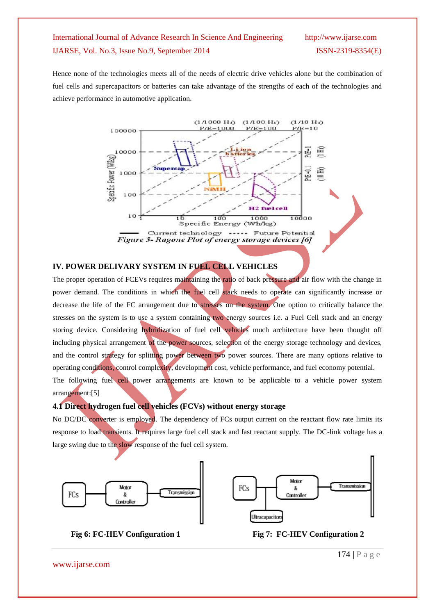Hence none of the technologies meets all of the needs of electric drive vehicles alone but the combination of fuel cells and supercapacitors or batteries can take advantage of the strengths of each of the technologies and achieve performance in automotive application.



#### **IV. POWER DELIVARY SYSTEM IN FUEL CELL VEHICLES**

The proper operation of FCEVs requires maintaining the ratio of back pressure and air flow with the change in power demand. The conditions in which the fuel cell stack needs to operate can significantly increase or decrease the life of the FC arrangement due to stresses on the system. One option to critically balance the stresses on the system is to use a system containing two energy sources i.e. a Fuel Cell stack and an energy storing device. Considering hybridization of fuel cell vehicles much architecture have been thought off including physical arrangement of the power sources, selection of the energy storage technology and devices, and the control strategy for splitting power between two power sources. There are many options relative to operating conditions, control complexity, development cost, vehicle performance, and fuel economy potential. The following fuel cell power arrangements are known to be applicable to a vehicle power system

arrangement:[5]

#### **4.1 Direct hydrogen fuel cell vehicles (FCVs) without energy storage**

No DC/DC converter is employed. The dependency of FCs output current on the reactant flow rate limits its response to load transients. It requires large fuel cell stack and fast reactant supply. The DC-link voltage has a large swing due to the slow response of the fuel cell system.





**Fig** 6: **FC-HEV** Configuration 1 **Fig** 7: **FC-HEV** Configuration 2

www.ijarse.com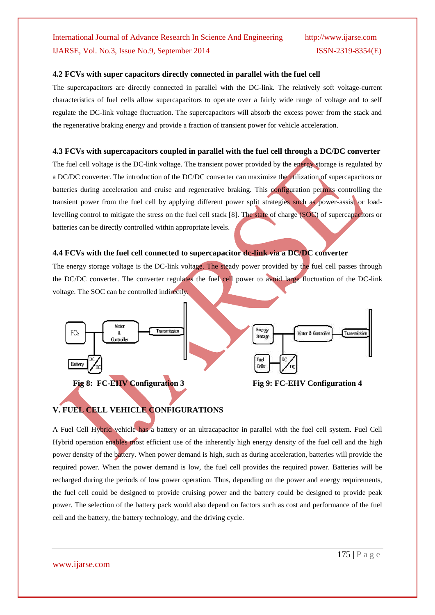#### **4.2 FCVs with super capacitors directly connected in parallel with the fuel cell**

The supercapacitors are directly connected in parallel with the DC-link. The relatively soft voltage-current characteristics of fuel cells allow supercapacitors to operate over a fairly wide range of voltage and to self regulate the DC-link voltage fluctuation. The supercapacitors will absorb the excess power from the stack and the regenerative braking energy and provide a fraction of transient power for vehicle acceleration.

#### **4.3 FCVs with supercapacitors coupled in parallel with the fuel cell through a DC/DC converter**

The fuel cell voltage is the DC-link voltage. The transient power provided by the energy storage is regulated by a DC/DC converter. The introduction of the DC/DC converter can maximize the utilization of supercapacitors or batteries during acceleration and cruise and regenerative braking. This configuration permits controlling the transient power from the fuel cell by applying different power split strategies such as power-assist or loadlevelling control to mitigate the stress on the fuel cell stack [8]. The state of charge (SOC) of supercapacitors or batteries can be directly controlled within appropriate levels.

## **4.4 FCVs with the fuel cell connected to supercapacitor dc-link via a DC/DC converter**

The energy storage voltage is the DC-link voltage. The steady power provided by the fuel cell passes through the DC/DC converter. The converter regulates the fuel cell power to avoid large fluctuation of the DC-link voltage. The SOC can be controlled indirectly.



# **V. FUEL CELL VEHICLE CONFIGURATIONS**

A Fuel Cell Hybrid vehicle has a battery or an ultracapacitor in parallel with the fuel cell system. Fuel Cell Hybrid operation enables most efficient use of the inherently high energy density of the fuel cell and the high power density of the battery. When power demand is high, such as during acceleration, batteries will provide the required power. When the power demand is low, the fuel cell provides the required power. Batteries will be recharged during the periods of low power operation. Thus, depending on the power and energy requirements, the fuel cell could be designed to provide cruising power and the battery could be designed to provide peak power. The selection of the battery pack would also depend on factors such as cost and performance of the fuel cell and the battery, the battery technology, and the driving cycle.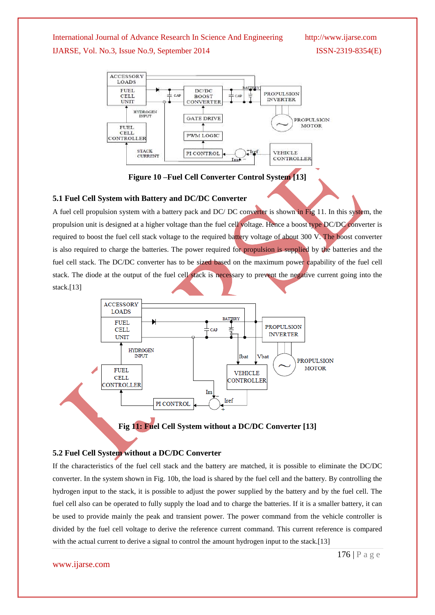

**Figure 10 –Fuel Cell Converter Control System [13]** 

#### **5.1 Fuel Cell System with Battery and DC/DC Converter**

A fuel cell propulsion system with a battery pack and DC/ DC converter is shown in Fig 11. In this system, the propulsion unit is designed at a higher voltage than the fuel cell voltage. Hence a boost type DC/DC converter is required to boost the fuel cell stack voltage to the required battery voltage of about 300 V. The boost converter is also required to charge the batteries. The power required for propulsion is supplied by the batteries and the fuel cell stack. The DC/DC converter has to be sized based on the maximum power capability of the fuel cell stack. The diode at the output of the fuel cell stack is necessary to prevent the negative current going into the stack.[13]





### **5.2 Fuel Cell System without a DC/DC Converter**

If the characteristics of the fuel cell stack and the battery are matched, it is possible to eliminate the DC/DC converter. In the system shown in Fig. 10b, the load is shared by the fuel cell and the battery. By controlling the hydrogen input to the stack, it is possible to adjust the power supplied by the battery and by the fuel cell. The fuel cell also can be operated to fully supply the load and to charge the batteries. If it is a smaller battery, it can be used to provide mainly the peak and transient power. The power command from the vehicle controller is divided by the fuel cell voltage to derive the reference current command. This current reference is compared with the actual current to derive a signal to control the amount hydrogen input to the stack.[13]

#### www.ijarse.com

176 | P a g e